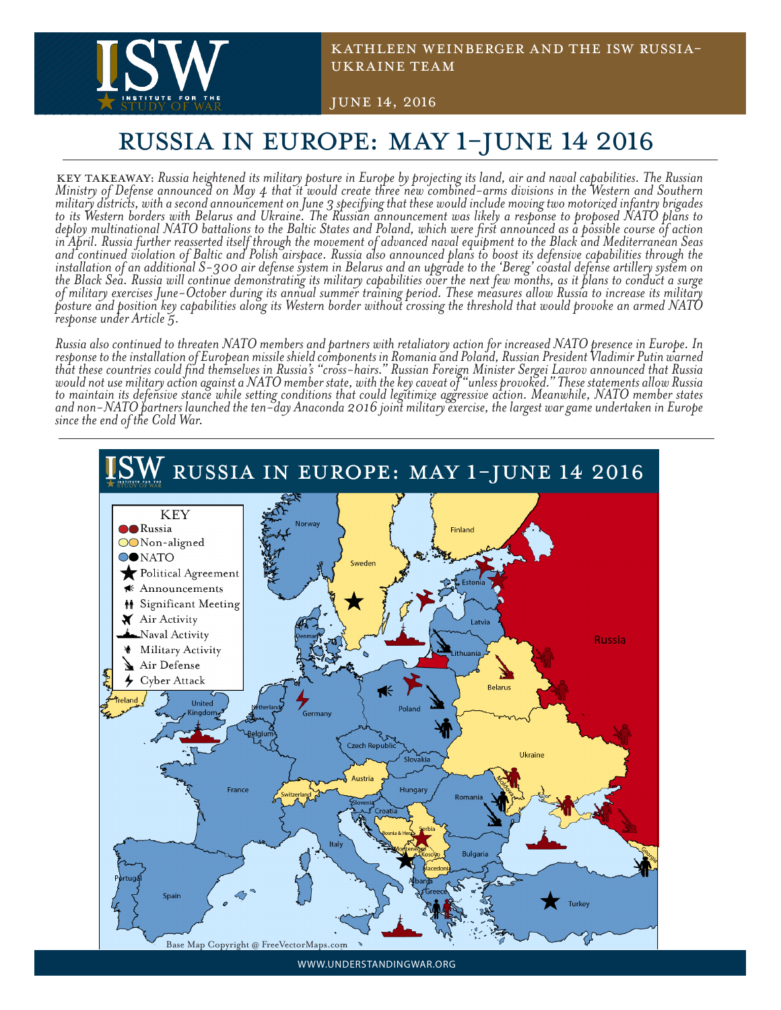

Kathleen Weinberger and the ISW RUssia-Ukraine TEam

June 14, 2016

## RUSSIA IN EUROPE: MAY 1-JUNE 14 2016

KEY TAKEAWAY: Russia heightened its military posture in Europe by projecting its land, air and naval capabilities. The Russian<br>Ministry of Defense announced on May 4 that it would create three new combined-arms divisions i *military districts, with a second announcement on June 3 specifying that these would include moving two motorized infantry brigades to its Western borders with Belarus and Ukraine. The Russian announcement was likely a response to proposed NATO plans to deploy multinational NATO battalions to the Baltic States and Poland, which were first announced as a possible course of action in April. Russia further reasserted itself through the movement of advanced naval equipment to the Black and Mediterranean Seas and continued violation of Baltic and Polish airspace. Russia also announced plans to boost its defensive capabilities through the installation of an additional S-300 air defense system in Belarus and an upgrade to the 'Bereg' coastal defense artillery system on the Black Sea. Russia will continue demonstrating its military capabilities over the next few months, as it plans to conduct a surge of military exercises June-October during its annual summer training period. These measures allow Russia to increase its military posture and position key capabilities along its Western border without crossing the threshold that would provoke an armed NATO response under Article 5.* 

*Russia also continued to threaten NATO members and partners with retaliatory action for increased NATO presence in Europe. In response to the installation of European missile shield components in Romania and Poland, Russian President Vladimir Putin warned that these countries could find themselves in Russia's "cross-hairs." Russian Foreign Minister Sergei Lavrov announced that Russia would not use military action against a NATO member state, with the key caveat of "unless provoked." These statements allow Russia to maintain its defensive stance while setting conditions that could legitimize aggressive action. Meanwhile, NATO member states and non-NATO partners launched the ten-day Anaconda 2016 joint military exercise, the largest war game undertaken in Europe since the end of the Cold War.* 



WWW.UNDERSTANDINGWAR.ORG